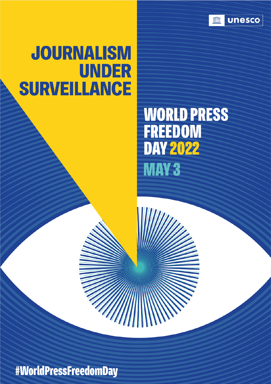

# **JOURNALISM UNDER SURVEILLANCE**

# **WORLD PRESS FREEDOM DAY 2022 MAY 3**

#WorldPressFreedomDay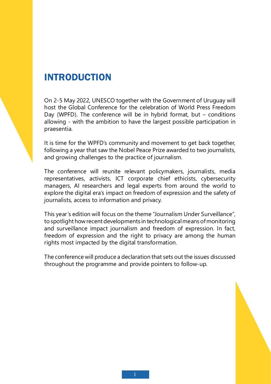#### INTRODUCTION

On 2-5 May 2022, UNESCO together with the Government of Uruguay will host the Global Conference for the celebration of World Press Freedom Day (WPFD). The conference will be in hybrid format, but  $-$  conditions allowing - with the ambition to have the largest possible participation in praesentia.

It is time for the WPFD's community and movement to get back together, following a year that saw the Nobel Peace Prize awarded to two journalists, and growing challenges to the practice of journalism.

The conference will reunite relevant policymakers, journalists, media representatives, activists, ICT corporate chief ethicists, cybersecurity managers, AI researchers and legal experts from around the world to explore the digital era's impact on freedom of expression and the safety of journalists, access to information and privacy.

This year's edition will focus on the theme "Journalism Under Surveillance", to spotlight how recent developments in technological means of monitoring and surveillance impact journalism and freedom of expression. In fact, freedom of expression and the right to privacy are among the human rights most impacted by the digital transformation.

The conference will produce a declaration that sets out the issues discussed throughout the programme and provide pointers to follow-up.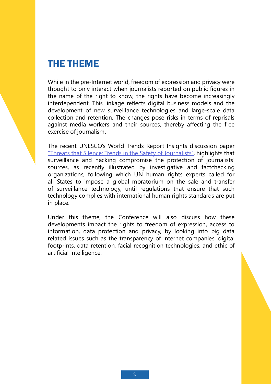### THE THEME

While in the pre-Internet world, freedom of expression and privacy were thought to only interact when journalists reported on public figures in the name of the right to know, the rights have become increasingly interdependent. This linkage reflects digital business models and the development of new surveillance technologies and large-scale data collection and retention. The changes pose risks in terms of reprisals against media workers and their sources, thereby affecting the free exercise of journalism.

The recent UNESCO's World Trends Report Insights discussion paper "Threats that Silence: Trends in the Safety of Journalists", highlights that surveillance and hacking compromise the protection of journalists' sources, as recently illustrated by investigative and factchecking organizations, following which UN human rights experts called for all States to impose a global moratorium on the sale and transfer of surveillance technology, until regulations that ensure that such technology complies with international human rights standards are put in place.

Under this theme, the Conference will also discuss how these developments impact the rights to freedom of expression, access to information, data protection and privacy, by looking into big data related issues such as the transparency of Internet companies, digital footprints, data retention, facial recognition technologies, and ethic of artificial intelligence.

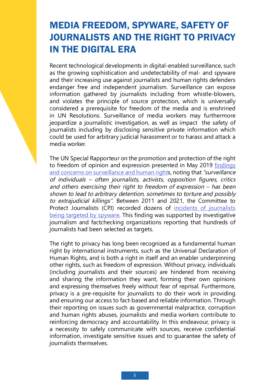### MEDIA FREEDOM, SPYWARE, SAFETY OF JOURNALISTS AND THE RIGHT TO PRIVACY IN THE DIGITAL ERA

Recent technological developments in digital-enabled surveillance, such as the growing sophistication and undetectability of mal- and spyware and their increasing use against journalists and human rights defenders endanger free and independent journalism. Surveillance can expose information gathered by journalists including from whistle-blowers, and violates the principle of source protection, which is universally considered a prerequisite for freedom of the media and is enshrined in UN Resolutions. Surveillance of media workers may furthermore jeopardize a journalistic investigation, as well as impact the safety of journalists including by disclosing sensitive private information which could be used for arbitrary judicial harassment or to harass and attack a media worker.

The UN Special Rapporteur on the promotion and protection of the right to freedom of opinion and expression presented in May 2019 findings and concerns on surveillance and human rights, noting that "surveillance of individuals – often journalists, activists, opposition figures, critics and others exercising their right to freedom of expression – has been shown to lead to arbitrary detention, sometimes to torture and possibly to extrajudicial killings". Between 2011 and 2021, the Committee to Protect Journalists (CPJ) recorded dozens of incidents of journalists being targeted by spyware. This finding was supported by investigative journalism and factchecking organizations reporting that hundreds of journalists had been selected as targets.

The right to privacy has long been recognized as a fundamental human right by international instruments, such as the Universal Declaration of Human Rights, and is both a right in itself and an enabler underpinning other rights, such as freedom of expression. Without privacy, individuals (including journalists and their sources) are hindered from receiving and sharing the information they want, forming their own opinions and expressing themselves freely without fear of reprisal. Furthermore, privacy is a pre-requisite for journalists to do their work in providing and ensuring our access to fact-based and reliable information. Through their reporting on issues such as governmental malpractice, corruption and human rights abuses, journalists and media workers contribute to reinforcing democracy and accountability. In this endeavour, privacy is a necessity to safely communicate with sources, receive confidential information, investigate sensitive issues and to guarantee the safety of journalists themselves.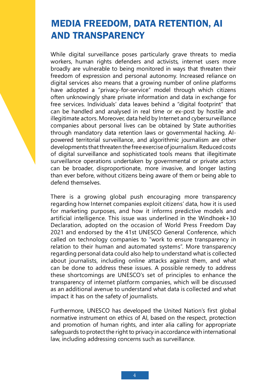### MEDIA FREEDOM, DATA RETENTION, AI AND TRANSPARENCY

While digital surveillance poses particularly grave threats to media workers, human rights defenders and activists, internet users more broadly are vulnerable to being monitored in ways that threaten their freedom of expression and personal autonomy. Increased reliance on digital services also means that a growing number of online platforms have adopted a "privacy-for-service" model through which citizens often unknowingly share private information and data in exchange for free services. Individuals' data leaves behind a "digital footprint" that can be handled and analysed in real time or ex-post by hostile and illegitimate actors. Moreover, data held by Internet and cybersurveillance companies about personal lives can be obtained by State authorities through mandatory data retention laws or governmental hacking. AIpowered territorial surveillance, and algorithmic journalism are other developments that threaten the free exercise of journalism. Reduced costs of digital surveillance and sophisticated tools means that illegitimate surveillance operations undertaken by governmental or private actors can be broader, disproportionate, more invasive, and longer lasting than ever before, without citizens being aware of them or being able to defend themselves.

There is a growing global push encouraging more transparency regarding how Internet companies exploit citizens' data, how it is used for marketing purposes, and how it informs predictive models and artificial intelligence. This issue was underlined in the Windhoek+30 Declaration, adopted on the occasion of World Press Freedom Day 2021 and endorsed by the 41st UNESCO General Conference, which called on technology companies to "work to ensure transparency in relation to their human and automated systems". More transparency regarding personal data could also help to understand what is collected about journalists, including online attacks against them, and what can be done to address these issues. A possible remedy to address these shortcomings are UNESCO's set of principles to enhance the transparency of internet platform companies, which will be discussed as an additional avenue to understand what data is collected and what impact it has on the safety of journalists.

Furthermore, UNESCO has developed the United Nation's first global normative instrument on ethics of AI, based on the respect, protection and promotion of human rights, and inter alia calling for appropriate safeguards to protect the right to privacy in accordance with international law, including addressing concerns such as surveillance.